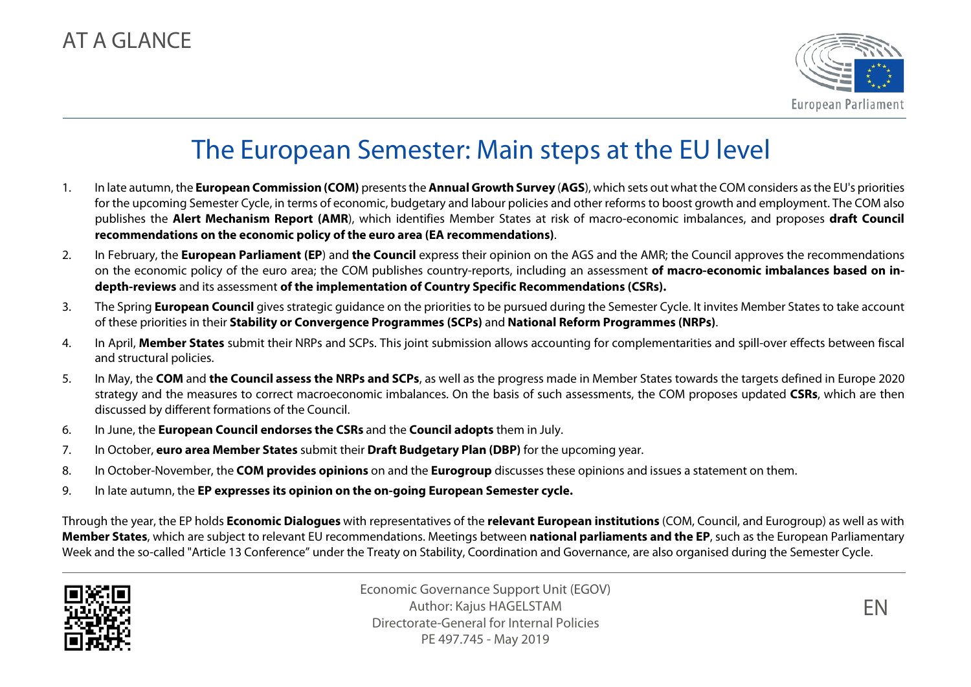

## The European Semester: Main steps at the EU level

- 1. In late autumn, the **European Commission (COM)** presents the **Annual Growth Survey** (**AGS**), which sets out what the COM considers as the EU's priorities for the upcoming Semester Cycle, in terms of economic, budgetary and labour policies and other reforms to boost growth and employment. The COM also publishes the **Alert Mechanism Report (AMR**), which identifies Member States at risk of macro-economic imbalances, and proposes **draft Council recommendations on the economic policy of the euro area (EA recommendations)**.
- 2. In February, the **European Parliament (EP**) and **the Council** express their opinion on the AGS and the AMR; the Council approves the recommendations on the economic policy of the euro area; the COM publishes country-reports, including an assessment **of macro-economic imbalances based on indepth-reviews** and its assessment **of the implementation of Country Specific Recommendations (CSRs).**
- 3. The Spring **European Council** gives strategic guidance on the priorities to be pursued during the Semester Cycle. It invites Member States to take account of these priorities in their **Stability or Convergence Programmes (SCPs)** and **National Reform Programmes (NRPs)**.
- 4. In April, **Member States** submit their NRPs and SCPs. This joint submission allows accounting for complementarities and spill-over effects between fiscal and structural policies.
- 5. In May, the **COM** and **the Council assess the NRPs and SCPs**, as well as the progress made in Member States towards the targets defined in Europe 2020 strategy and the measures to correct macroeconomic imbalances. On the basis of such assessments, the COM proposes updated **CSRs**, which are then discussed by different formations of the Council.
- 6. In June, the **European Council endorses the CSRs** and the **Council adopts** them in July.
- 7. In October, **euro area Member States** submit their **Draft Budgetary Plan (DBP)** for the upcoming year.
- 8. In October-November, the **COM provides opinions** on and the **Eurogroup** discusses these opinions and issues a statement on them.
- 9. In late autumn, the **EP expresses its opinion on the on-going European Semester cycle.**

Through the year, the EP holds **Economic Dialogues** with representatives of the **relevant European institutions** (COM, Council, and Eurogroup) as well as with **Member States**, which are subject to relevant EU recommendations. Meetings between **national parliaments and the EP**, such as the European Parliamentary Week and the so-called "Article 13 Conference" under the Treaty on Stability, Coordination and Governance, are also organised during the Semester Cycle.



Economic Governance Support Unit (EGOV) Author: Kajus HAGELSTAM Directorate-General for Internal Policies PE 497.745 - May 2019